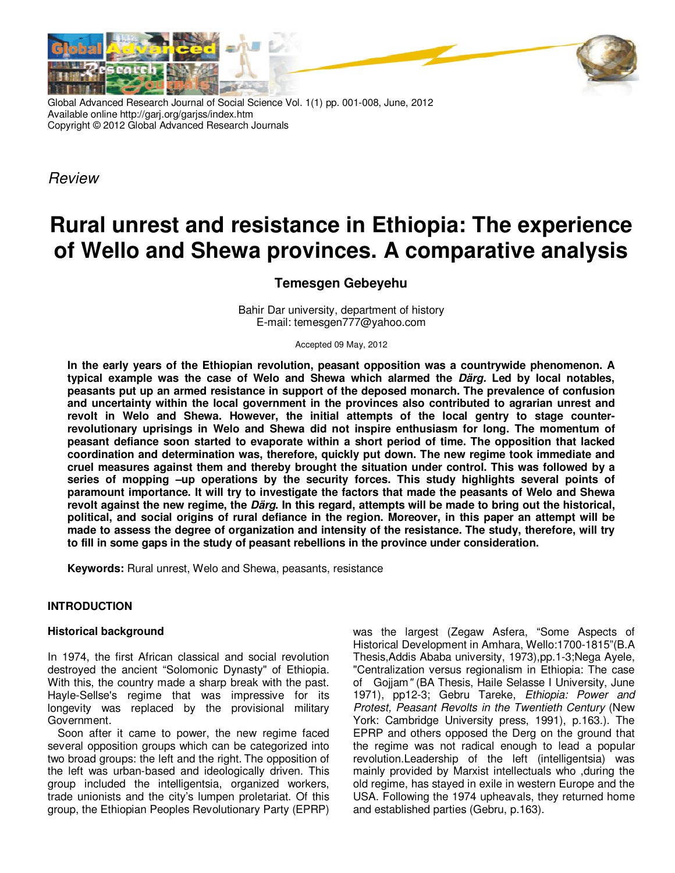

Global Advanced Research Journal of Social Science Vol. 1(1) pp. 001-008, June, 2012 Available online http://garj.org/garjss/index.htm Copyright © 2012 Global Advanced Research Journals

*Review*

# **Rural unrest and resistance in Ethiopia: The experience of Wello and Shewa provinces. A comparative analysis**

## **Temesgen Gebeyehu**

Bahir Dar university, department of history E-mail: temesgen777@yahoo.com

Accepted 09 May, 2012

**In the early years of the Ethiopian revolution, peasant opposition was a countrywide phenomenon. A typical example was the case of Welo and Shewa which alarmed the Därg. Led by local notables, peasants put up an armed resistance in support of the deposed monarch. The prevalence of confusion and uncertainty within the local government in the provinces also contributed to agrarian unrest and revolt in Welo and Shewa. However, the initial attempts of the local gentry to stage counterrevolutionary uprisings in Welo and Shewa did not inspire enthusiasm for long. The momentum of peasant defiance soon started to evaporate within a short period of time. The opposition that lacked coordination and determination was, therefore, quickly put down. The new regime took immediate and cruel measures against them and thereby brought the situation under control. This was followed by a series of mopping –up operations by the security forces. This study highlights several points of paramount importance. It will try to investigate the factors that made the peasants of Welo and Shewa revolt against the new regime, the Därg. In this regard, attempts will be made to bring out the historical, political, and social origins of rural defiance in the region. Moreover, in this paper an attempt will be made to assess the degree of organization and intensity of the resistance. The study, therefore, will try to fill in some gaps in the study of peasant rebellions in the province under consideration.** 

**Keywords:** Rural unrest, Welo and Shewa, peasants, resistance

### **INTRODUCTION**

#### **Historical background**

In 1974, the first African classical and social revolution destroyed the ancient "Solomonic Dynasty" of Ethiopia. With this, the country made a sharp break with the past. Hayle-Sellse's regime that was impressive for its longevity was replaced by the provisional military Government*.*

Soon after it came to power, the new regime faced several opposition groups which can be categorized into two broad groups: the left and the right. The opposition of the left was urban-based and ideologically driven. This group included the intelligentsia, organized workers, trade unionists and the city's lumpen proletariat. Of this group, the Ethiopian Peoples Revolutionary Party (EPRP) was the largest (Zegaw Asfera, "Some Aspects of Historical Development in Amhara, Wello:1700-1815"(B.A Thesis,Addis Ababa university, 1973),pp.1-3;Nega Ayele, "Centralization versus regionalism in Ethiopia: The case ofGojjam*"* (BA Thesis, Haile Selasse I University, June 1971), pp12-3; Gebru Tareke, *Ethiopia: Power and Protest, Peasant Revolts in the Twentieth Century* (New York: Cambridge University press, 1991), p.163.). The EPRP and others opposed the Derg on the ground that the regime was not radical enough to lead a popular revolution.Leadership of the left (intelligentsia) was mainly provided by Marxist intellectuals who ,during the old regime, has stayed in exile in western Europe and the USA. Following the 1974 upheavals, they returned home and established parties (Gebru, p.163).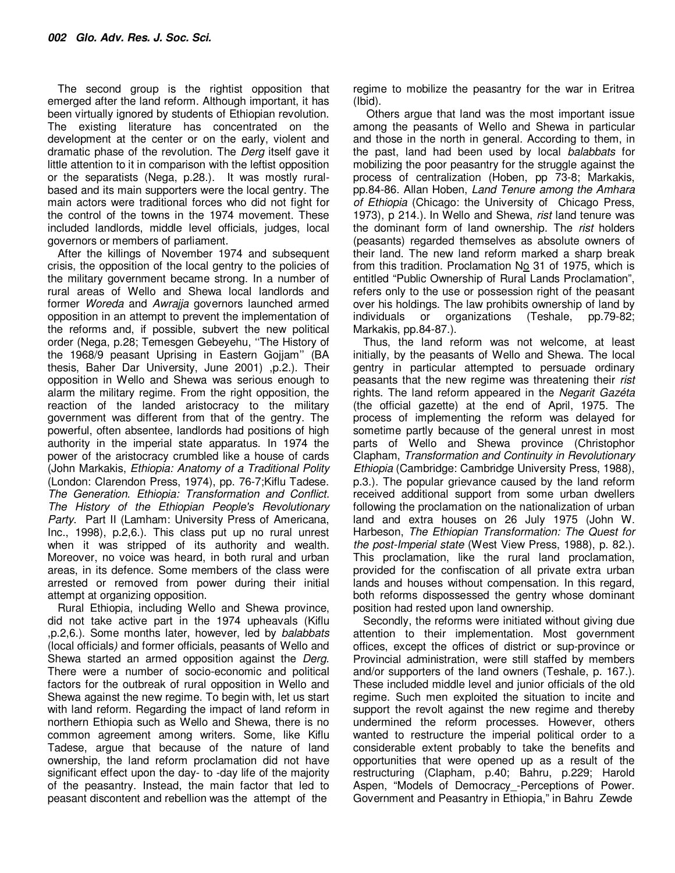The second group is the rightist opposition that emerged after the land reform. Although important, it has been virtually ignored by students of Ethiopian revolution. The existing literature has concentrated on the development at the center or on the early, violent and dramatic phase of the revolution. The *Derg* itself gave it little attention to it in comparison with the leftist opposition or the separatists (Nega, p.28.). It was mostly ruralbased and its main supporters were the local gentry. The main actors were traditional forces who did not fight for the control of the towns in the 1974 movement. These included landlords, middle level officials, judges, local governors or members of parliament.

After the killings of November 1974 and subsequent crisis, the opposition of the local gentry to the policies of the military government became strong. In a number of rural areas of Wello and Shewa local landlords and former *Woreda* and *Awrajja* governors launched armed opposition in an attempt to prevent the implementation of the reforms and, if possible, subvert the new political order (Nega, p.28; Temesgen Gebeyehu, ''The History of the 1968/9 peasant Uprising in Eastern Gojjam'' (BA thesis, Baher Dar University, June 2001) ,p.2.). Their opposition in Wello and Shewa was serious enough to alarm the military regime. From the right opposition, the reaction of the landed aristocracy to the military government was different from that of the gentry. The powerful, often absentee, landlords had positions of high authority in the imperial state apparatus. In 1974 the power of the aristocracy crumbled like a house of cards (John Markakis, *Ethiopia: Anatomy of a Traditional Polity* (London: Clarendon Press, 1974), pp. 76-7;Kiflu Tadese. *The Generation*. *Ethiopia: Transformation and Conflict. The History of the Ethiopian People's Revolutionary Party*. Part II (Lamham: University Press of Americana, Inc., 1998), p.2,6.). This class put up no rural unrest when it was stripped of its authority and wealth. Moreover, no voice was heard, in both rural and urban areas, in its defence. Some members of the class were arrested or removed from power during their initial attempt at organizing opposition.

Rural Ethiopia, including Wello and Shewa province, did not take active part in the 1974 upheavals (Kiflu ,p.2,6.). Some months later, however, led by *balabbats*  (local officials*)* and former officials, peasants of Wello and Shewa started an armed opposition against the *Derg.* There were a number of socio-economic and political factors for the outbreak of rural opposition in Wello and Shewa against the new regime. To begin with, let us start with land reform. Regarding the impact of land reform in northern Ethiopia such as Wello and Shewa, there is no common agreement among writers. Some, like Kiflu Tadese, argue that because of the nature of land ownership, the land reform proclamation did not have significant effect upon the day- to -day life of the majority of the peasantry. Instead, the main factor that led to peasant discontent and rebellion was the attempt of the

regime to mobilize the peasantry for the war in Eritrea (Ibid).

 Others argue that land was the most important issue among the peasants of Wello and Shewa in particular and those in the north in general. According to them, in the past, land had been used by local *balabbats* for mobilizing the poor peasantry for the struggle against the process of centralization (Hoben, pp 73-8; Markakis, pp.84-86. Allan Hoben, *Land Tenure among the Amhara of Ethiopia* (Chicago: the University of Chicago Press, 1973), p 214.). In Wello and Shewa, *rist* land tenure was the dominant form of land ownership. The *rist* holders (peasants) regarded themselves as absolute owners of their land. The new land reform marked a sharp break from this tradition. Proclamation  $N_0$  31 of 1975, which is entitled "Public Ownership of Rural Lands Proclamation", refers only to the use or possession right of the peasant over his holdings. The law prohibits ownership of land by individuals or organizations (Teshale, pp.79-82; Markakis, pp.84-87.).

Thus, the land reform was not welcome, at least initially, by the peasants of Wello and Shewa. The local gentry in particular attempted to persuade ordinary peasants that the new regime was threatening their *rist* rights. The land reform appeared in the *Negarit Gazéta* (the official gazette) at the end of April, 1975. The process of implementing the reform was delayed for sometime partly because of the general unrest in most parts of Wello and Shewa province (Christophor Clapham, *Transformation and Continuity in Revolutionary Ethiopia* (Cambridge: Cambridge University Press, 1988), p.3.). The popular grievance caused by the land reform received additional support from some urban dwellers following the proclamation on the nationalization of urban land and extra houses on 26 July 1975 (John W. Harbeson, *The Ethiopian Transformation: The Quest for the post-Imperial state* (West View Press, 1988), p. 82.). This proclamation, like the rural land proclamation, provided for the confiscation of all private extra urban lands and houses without compensation. In this regard, both reforms dispossessed the gentry whose dominant position had rested upon land ownership.

Secondly, the reforms were initiated without giving due attention to their implementation. Most government offices, except the offices of district or sup-province or Provincial administration, were still staffed by members and/or supporters of the land owners (Teshale, p. 167.). These included middle level and junior officials of the old regime. Such men exploited the situation to incite and support the revolt against the new regime and thereby undermined the reform processes. However, others wanted to restructure the imperial political order to a considerable extent probably to take the benefits and opportunities that were opened up as a result of the restructuring (Clapham, p.40; Bahru, p.229; Harold Aspen, "Models of Democracy\_-Perceptions of Power. Government and Peasantry in Ethiopia," in Bahru Zewde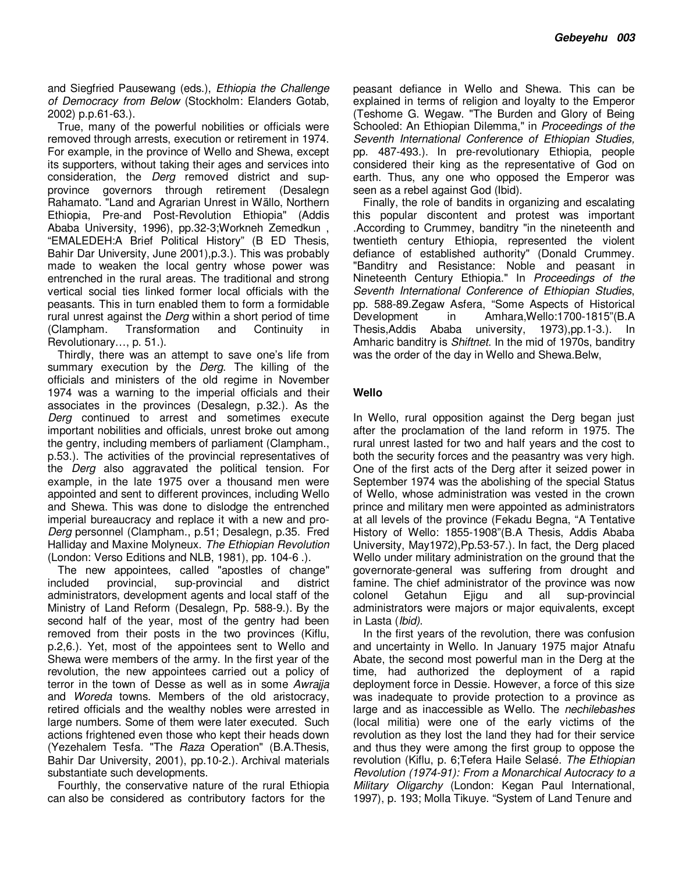and Siegfried Pausewang (eds.), *Ethiopia the Challenge of Democracy from Below* (Stockholm: Elanders Gotab, 2002) p.p.61-63.).

True, many of the powerful nobilities or officials were removed through arrests, execution or retirement in 1974. For example, in the province of Wello and Shewa, except its supporters, without taking their ages and services into consideration, the *Derg* removed district and supprovince governors through retirement (Desalegn Rahamato. "Land and Agrarian Unrest in Wällo, Northern Ethiopia, Pre-and Post-Revolution Ethiopia" (Addis Ababa University, 1996), pp.32-3;Workneh Zemedkun , "EMALEDEH:A Brief Political History" (B ED Thesis, Bahir Dar University, June 2001),p.3.). This was probably made to weaken the local gentry whose power was entrenched in the rural areas. The traditional and strong vertical social ties linked former local officials with the peasants. This in turn enabled them to form a formidable rural unrest against the *Derg* within a short period of time (Clampham. Transformation and Continuity in Revolutionary…, p. 51.).

Thirdly, there was an attempt to save one's life from summary execution by the *Derg*. The killing of the officials and ministers of the old regime in November 1974 was a warning to the imperial officials and their associates in the provinces (Desalegn, p.32.). As the *Derg* continued to arrest and sometimes execute important nobilities and officials, unrest broke out among the gentry, including members of parliament (Clampham., p.53.). The activities of the provincial representatives of the *Derg* also aggravated the political tension. For example, in the late 1975 over a thousand men were appointed and sent to different provinces, including Wello and Shewa. This was done to dislodge the entrenched imperial bureaucracy and replace it with a new and pro-*Derg* personnel (Clampham., p.51; Desalegn, p.35. Fred Halliday and Maxine Molyneux. *The Ethiopian Revolution* (London: Verso Editions and NLB, 1981), pp. 104-6 .).

The new appointees, called "apostles of change" included provincial, sup-provincial and district administrators, development agents and local staff of the Ministry of Land Reform (Desalegn, Pp. 588-9.). By the second half of the year, most of the gentry had been removed from their posts in the two provinces (Kiflu, p.2,6.). Yet, most of the appointees sent to Wello and Shewa were members of the army. In the first year of the revolution, the new appointees carried out a policy of terror in the town of Desse as well as in some *Awrajja* and *Woreda* towns. Members of the old aristocracy, retired officials and the wealthy nobles were arrested in large numbers. Some of them were later executed. Such actions frightened even those who kept their heads down (Yezehalem Tesfa. "The *Raza* Operation" (B.A.Thesis, Bahir Dar University, 2001), pp.10-2.). Archival materials substantiate such developments.

Fourthly, the conservative nature of the rural Ethiopia can also be considered as contributory factors for the

peasant defiance in Wello and Shewa. This can be explained in terms of religion and loyalty to the Emperor (Teshome G. Wegaw. "The Burden and Glory of Being Schooled: An Ethiopian Dilemma," in *Proceedings of the Seventh International Conference of Ethiopian Studies,* pp. 487-493.). In pre-revolutionary Ethiopia, people considered their king as the representative of God on earth. Thus, any one who opposed the Emperor was seen as a rebel against God (Ibid).

Finally, the role of bandits in organizing and escalating this popular discontent and protest was important .According to Crummey, banditry "in the nineteenth and twentieth century Ethiopia, represented the violent defiance of established authority" (Donald Crummey. "Banditry and Resistance: Noble and peasant in Nineteenth Century Ethiopia." In *Proceedings of the Seventh International Conference of Ethiopian Studies*, pp. 588-89.Zegaw Asfera, "Some Aspects of Historical Development in Amhara,Wello:1700-1815"(B.A Thesis,Addis Ababa university, 1973),pp.1-3.). In Amharic banditry is *Shiftnet*. In the mid of 1970s, banditry was the order of the day in Wello and Shewa.Belw,

#### **Wello**

In Wello, rural opposition against the Derg began just after the proclamation of the land reform in 1975. The rural unrest lasted for two and half years and the cost to both the security forces and the peasantry was very high. One of the first acts of the Derg after it seized power in September 1974 was the abolishing of the special Status of Wello, whose administration was vested in the crown prince and military men were appointed as administrators at all levels of the province (Fekadu Begna, "A Tentative History of Wello: 1855-1908"(B.A Thesis, Addis Ababa University, May1972),Pp.53-57.). In fact, the Derg placed Wello under military administration on the ground that the governorate-general was suffering from drought and famine. The chief administrator of the province was now colonel Getahun Ejigu and all sup-provincial administrators were majors or major equivalents, except in Lasta (*Ibid)*.

In the first years of the revolution, there was confusion and uncertainty in Wello. In January 1975 major Atnafu Abate, the second most powerful man in the Derg at the time, had authorized the deployment of a rapid deployment force in Dessie. However, a force of this size was inadequate to provide protection to a province as large and as inaccessible as Wello. The *nechilebashes*  (local militia) were one of the early victims of the revolution as they lost the land they had for their service and thus they were among the first group to oppose the revolution (Kiflu, p. 6;Tefera Haile Selasé. *The Ethiopian Revolution (1974-91): From a Monarchical Autocracy to a Military Oligarchy* (London: Kegan Paul International, 1997), p. 193; Molla Tikuye. "System of Land Tenure and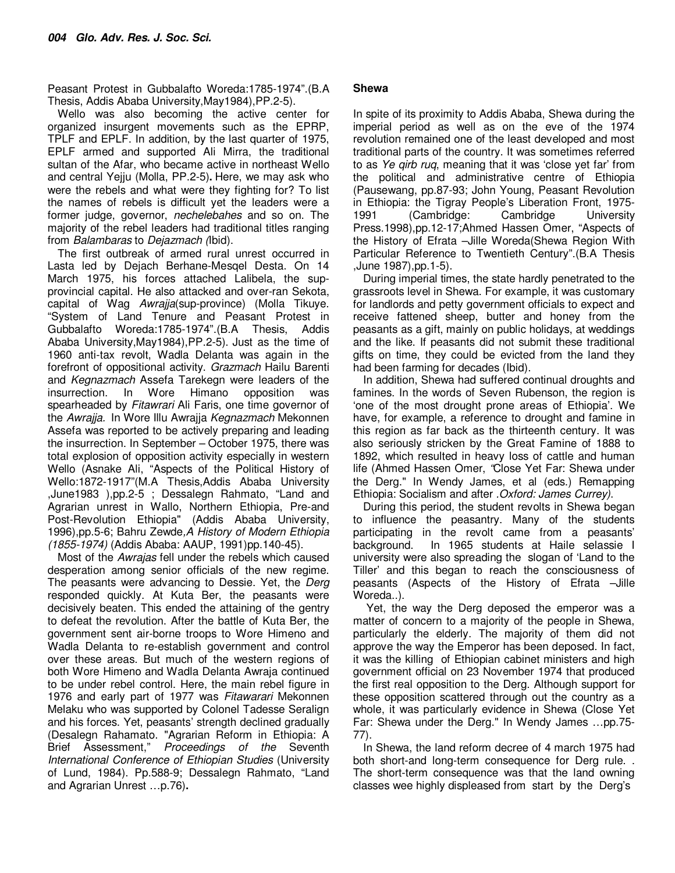Peasant Protest in Gubbalafto Woreda:1785-1974".(B.A Thesis, Addis Ababa University,May1984),PP.2-5).

Wello was also becoming the active center for organized insurgent movements such as the EPRP, TPLF and EPLF. In addition, by the last quarter of 1975, EPLF armed and supported Ali Mirra, the traditional sultan of the Afar, who became active in northeast Wello and central Yejju (Molla, PP.2-5)**.** Here, we may ask who were the rebels and what were they fighting for? To list the names of rebels is difficult yet the leaders were a former judge, governor, *nechelebahes* and so on. The majority of the rebel leaders had traditional titles ranging from *Balambaras* to *Dejazmach (*Ibid).

The first outbreak of armed rural unrest occurred in Lasta led by Dejach Berhane-Mesqel Desta. On 14 March 1975, his forces attached Lalibela, the supprovincial capital. He also attacked and over-ran Sekota, capital of Wag *Awrajja*(sup-province) (Molla Tikuye. "System of Land Tenure and Peasant Protest in Gubbalafto Woreda:1785-1974".(B.A Thesis, Addis Ababa University,May1984),PP.2-5). Just as the time of 1960 anti-tax revolt, Wadla Delanta was again in the forefront of oppositional activity. *Grazmach* Hailu Barenti and *Kegnazmach* Assefa Tarekegn were leaders of the insurrection. In Wore Himano opposition was spearheaded by *Fitawrari* Ali Faris, one time governor of the *Awrajja.* In Wore Illu Awrajja *Kegnazmach* Mekonnen Assefa was reported to be actively preparing and leading the insurrection. In September – October 1975, there was total explosion of opposition activity especially in western Wello (Asnake Ali, "Aspects of the Political History of Wello:1872-1917"(M.A Thesis,Addis Ababa University ,June1983 ),pp.2-5 ; Dessalegn Rahmato, "Land and Agrarian unrest in Wallo, Northern Ethiopia, Pre-and Post-Revolution Ethiopia" (Addis Ababa University, 1996),pp.5-6; Bahru Zewde*,A History of Modern Ethiopia (1855-1974)* (Addis Ababa: AAUP, 1991)pp.140-45).

Most of the *Awrajas* fell under the rebels which caused desperation among senior officials of the new regime. The peasants were advancing to Dessie. Yet, the *Derg* responded quickly. At Kuta Ber, the peasants were decisively beaten. This ended the attaining of the gentry to defeat the revolution. After the battle of Kuta Ber, the government sent air-borne troops to Wore Himeno and Wadla Delanta to re-establish government and control over these areas. But much of the western regions of both Wore Himeno and Wadla Delanta Awraja continued to be under rebel control. Here, the main rebel figure in 1976 and early part of 1977 was *Fitawarari* Mekonnen Melaku who was supported by Colonel Tadesse Seralign and his forces. Yet, peasants' strength declined gradually (Desalegn Rahamato. "Agrarian Reform in Ethiopia: A Brief Assessment," *Proceedings of the* Seventh *International Conference of Ethiopian Studies* (University of Lund, 1984). Pp.588-9; Dessalegn Rahmato, "Land and Agrarian Unrest …p.76)**.**

#### **Shewa**

In spite of its proximity to Addis Ababa, Shewa during the imperial period as well as on the eve of the 1974 revolution remained one of the least developed and most traditional parts of the country. It was sometimes referred to as *Ye qirb ruq*, meaning that it was 'close yet far' from the political and administrative centre of Ethiopia (Pausewang, pp.87-93; John Young, Peasant Revolution in Ethiopia: the Tigray People's Liberation Front, 1975- 1991 (Cambridge: Cambridge University Press.1998),pp.12-17;Ahmed Hassen Omer, "Aspects of the History of Efrata –Jille Woreda(Shewa Region With Particular Reference to Twentieth Century".(B.A Thesis ,June 1987),pp.1-5).

During imperial times, the state hardly penetrated to the grassroots level in Shewa. For example, it was customary for landlords and petty government officials to expect and receive fattened sheep, butter and honey from the peasants as a gift, mainly on public holidays, at weddings and the like. If peasants did not submit these traditional gifts on time, they could be evicted from the land they had been farming for decades (Ibid).

In addition, Shewa had suffered continual droughts and famines. In the words of Seven Rubenson, the region is 'one of the most drought prone areas of Ethiopia'. We have, for example, a reference to drought and famine in this region as far back as the thirteenth century. It was also seriously stricken by the Great Famine of 1888 to 1892, which resulted in heavy loss of cattle and human life (Ahmed Hassen Omer, *"*Close Yet Far: Shewa under the Derg." In Wendy James, et al (eds.) Remapping Ethiopia: Socialism and after *.Oxford: James Currey)*.

During this period, the student revolts in Shewa began to influence the peasantry. Many of the students participating in the revolt came from a peasants' background. In 1965 students at Haile selassie I university were also spreading the slogan of 'Land to the Tiller' and this began to reach the consciousness of peasants (Aspects of the History of Efrata –Jille Woreda..).

 Yet, the way the Derg deposed the emperor was a matter of concern to a majority of the people in Shewa, particularly the elderly. The majority of them did not approve the way the Emperor has been deposed. In fact, it was the killing of Ethiopian cabinet ministers and high government official on 23 November 1974 that produced the first real opposition to the Derg. Although support for these opposition scattered through out the country as a whole, it was particularly evidence in Shewa (Close Yet Far: Shewa under the Derg." In Wendy James …pp.75- 77).

In Shewa, the land reform decree of 4 march 1975 had both short-and long-term consequence for Derg rule. . The short-term consequence was that the land owning classes wee highly displeased from start by the Derg's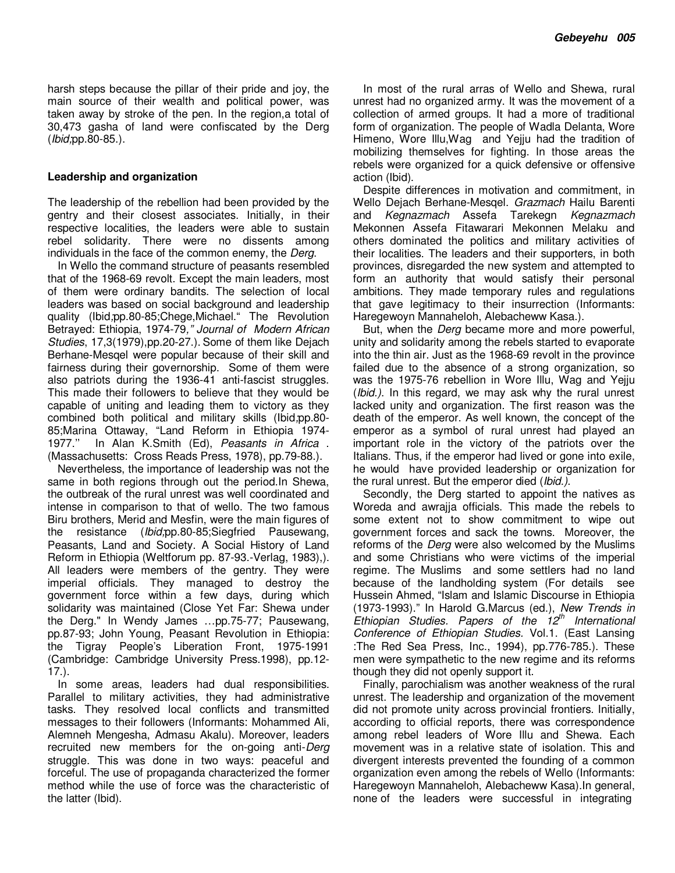harsh steps because the pillar of their pride and joy, the main source of their wealth and political power, was taken away by stroke of the pen. In the region,a total of 30,473 gasha of land were confiscated by the Derg (*Ibid;*pp.80-85.).

#### **Leadership and organization**

The leadership of the rebellion had been provided by the gentry and their closest associates. Initially, in their respective localities, the leaders were able to sustain rebel solidarity. There were no dissents among individuals in the face of the common enemy, the *Derg*.

In Wello the command structure of peasants resembled that of the 1968-69 revolt. Except the main leaders, most of them were ordinary bandits. The selection of local leaders was based on social background and leadership quality (Ibid*;*pp.80-85;Chege,Michael." The Revolution Betrayed: Ethiopia, 1974-79*," Journal of Modern African Studies*, 17,3(1979),pp.20-27.). Some of them like Dejach Berhane-Mesqel were popular because of their skill and fairness during their governorship. Some of them were also patriots during the 1936-41 anti-fascist struggles. This made their followers to believe that they would be capable of uniting and leading them to victory as they combined both political and military skills (Ibid*;*pp.80- 85;Marina Ottaway, "Land Reform in Ethiopia 1974- 1977.'' In Alan K.Smith (Ed), *Peasants in Africa* . (Massachusetts: Cross Reads Press, 1978), pp.79-88.).

Nevertheless, the importance of leadership was not the same in both regions through out the period.In Shewa, the outbreak of the rural unrest was well coordinated and intense in comparison to that of wello. The two famous Biru brothers, Merid and Mesfin, were the main figures of the resistance (*Ibid;*pp.80-85;Siegfried Pausewang, Peasants, Land and Society. A Social History of Land Reform in Ethiopia (Weltforum pp. 87-93.-Verlag, 1983),). All leaders were members of the gentry. They were imperial officials. They managed to destroy the government force within a few days, during which solidarity was maintained (Close Yet Far: Shewa under the Derg." In Wendy James …pp.75-77; Pausewang, pp.87-93; John Young, Peasant Revolution in Ethiopia: the Tigray People's Liberation Front, 1975-1991 (Cambridge: Cambridge University Press.1998), pp.12- 17.).

In some areas, leaders had dual responsibilities. Parallel to military activities, they had administrative tasks. They resolved local conflicts and transmitted messages to their followers (Informants: Mohammed Ali, Alemneh Mengesha, Admasu Akalu). Moreover, leaders recruited new members for the on-going anti-*Derg*  struggle. This was done in two ways: peaceful and forceful. The use of propaganda characterized the former method while the use of force was the characteristic of the latter (Ibid).

In most of the rural arras of Wello and Shewa, rural unrest had no organized army. It was the movement of a collection of armed groups. It had a more of traditional form of organization. The people of Wadla Delanta, Wore Himeno, Wore Illu,Wag and Yejju had the tradition of mobilizing themselves for fighting. In those areas the rebels were organized for a quick defensive or offensive action (Ibid).

Despite differences in motivation and commitment, in Wello Dejach Berhane-Mesqel. *Grazmach* Hailu Barenti and *Kegnazmach* Assefa Tarekegn *Kegnazmach* Mekonnen Assefa Fitawarari Mekonnen Melaku and others dominated the politics and military activities of their localities. The leaders and their supporters, in both provinces, disregarded the new system and attempted to form an authority that would satisfy their personal ambitions. They made temporary rules and regulations that gave legitimacy to their insurrection (Informants: Haregewoyn Mannaheloh, Alebacheww Kasa.).

But, when the *Derg* became more and more powerful, unity and solidarity among the rebels started to evaporate into the thin air. Just as the 1968-69 revolt in the province failed due to the absence of a strong organization, so was the 1975-76 rebellion in Wore Illu, Wag and Yejju (*Ibid.)*. In this regard, we may ask why the rural unrest lacked unity and organization. The first reason was the death of the emperor. As well known, the concept of the emperor as a symbol of rural unrest had played an important role in the victory of the patriots over the Italians. Thus, if the emperor had lived or gone into exile, he would have provided leadership or organization for the rural unrest. But the emperor died (*Ibid.)*.

Secondly, the Derg started to appoint the natives as Woreda and awrajja officials. This made the rebels to some extent not to show commitment to wipe out government forces and sack the towns. Moreover, the reforms of the *Derg* were also welcomed by the Muslims and some Christians who were victims of the imperial regime. The Muslims and some settlers had no land because of the landholding system (For details see Hussein Ahmed, "Islam and Islamic Discourse in Ethiopia (1973-1993)." In Harold G.Marcus (ed.), *New Trends in Ethiopian Studies. Papers of the 12th International Conference of Ethiopian Studies.* Vol.1. (East Lansing :The Red Sea Press, Inc., 1994), pp.776-785.). These men were sympathetic to the new regime and its reforms though they did not openly support it.

Finally, parochialism was another weakness of the rural unrest. The leadership and organization of the movement did not promote unity across provincial frontiers. Initially, according to official reports, there was correspondence among rebel leaders of Wore Illu and Shewa. Each movement was in a relative state of isolation. This and divergent interests prevented the founding of a common organization even among the rebels of Wello (Informants: Haregewoyn Mannaheloh, Alebacheww Kasa).In general, none of the leaders were successful in integrating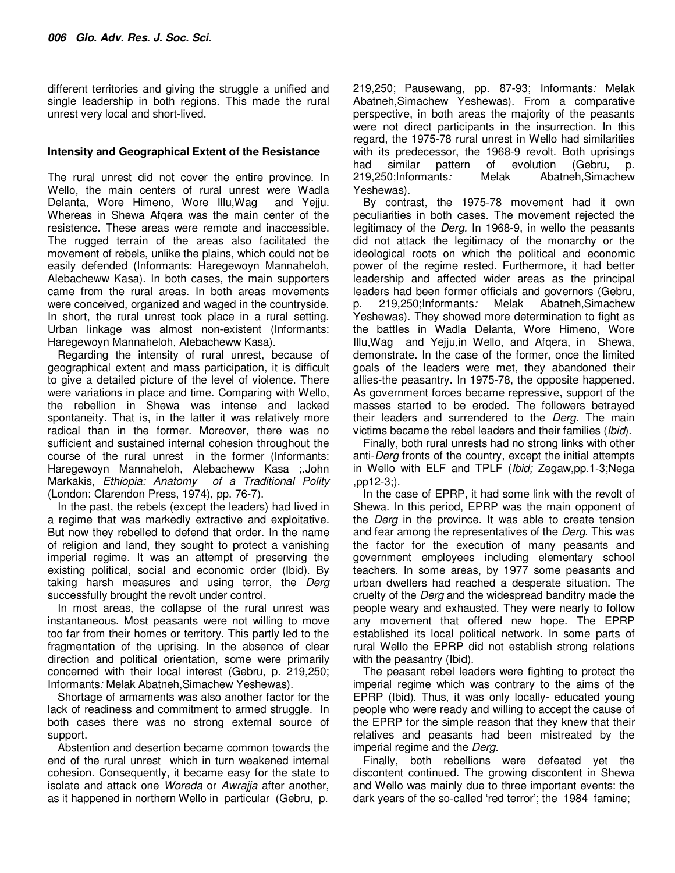different territories and giving the struggle a unified and single leadership in both regions. This made the rural unrest very local and short-lived.

#### **Intensity and Geographical Extent of the Resistance**

The rural unrest did not cover the entire province. In Wello, the main centers of rural unrest were Wadla Delanta, Wore Himeno, Wore Illu,Wag and Yejju. Whereas in Shewa Afqera was the main center of the resistence. These areas were remote and inaccessible. The rugged terrain of the areas also facilitated the movement of rebels, unlike the plains, which could not be easily defended (Informants: Haregewoyn Mannaheloh, Alebacheww Kasa). In both cases, the main supporters came from the rural areas. In both areas movements were conceived, organized and waged in the countryside. In short, the rural unrest took place in a rural setting. Urban linkage was almost non-existent (Informants: Haregewoyn Mannaheloh, Alebacheww Kasa).

Regarding the intensity of rural unrest, because of geographical extent and mass participation, it is difficult to give a detailed picture of the level of violence. There were variations in place and time. Comparing with Wello, the rebellion in Shewa was intense and lacked spontaneity. That is, in the latter it was relatively more radical than in the former. Moreover, there was no sufficient and sustained internal cohesion throughout the course of the rural unrest in the former (Informants: Haregewoyn Mannaheloh, Alebacheww Kasa ;.John Markakis, *Ethiopia: Anatomy of a Traditional Polity* (London: Clarendon Press, 1974), pp. 76-7).

In the past, the rebels (except the leaders) had lived in a regime that was markedly extractive and exploitative. But now they rebelled to defend that order. In the name of religion and land, they sought to protect a vanishing imperial regime. It was an attempt of preserving the existing political, social and economic order (Ibid). By taking harsh measures and using terror, the *Derg* successfully brought the revolt under control.

In most areas, the collapse of the rural unrest was instantaneous. Most peasants were not willing to move too far from their homes or territory. This partly led to the fragmentation of the uprising. In the absence of clear direction and political orientation, some were primarily concerned with their local interest (Gebru, p. 219,250; Informants*:* Melak Abatneh,Simachew Yeshewas).

Shortage of armaments was also another factor for the lack of readiness and commitment to armed struggle. In both cases there was no strong external source of support.

Abstention and desertion became common towards the end of the rural unrest which in turn weakened internal cohesion. Consequently, it became easy for the state to isolate and attack one *Woreda* or *Awrajja* after another, as it happened in northern Wello in particular (Gebru, p.

219,250; Pausewang, pp. 87-93; Informants*:* Melak Abatneh,Simachew Yeshewas). From a comparative perspective, in both areas the majority of the peasants were not direct participants in the insurrection. In this regard, the 1975-78 rural unrest in Wello had similarities with its predecessor, the 1968-9 revolt. Both uprisings had similar pattern of evolution (Gebru, p. 219,250;Informants*:* Melak Abatneh,Simachew Yeshewas).

By contrast, the 1975-78 movement had it own peculiarities in both cases. The movement rejected the legitimacy of the *Derg.* In 1968-9, in wello the peasants did not attack the legitimacy of the monarchy or the ideological roots on which the political and economic power of the regime rested. Furthermore, it had better leadership and affected wider areas as the principal leaders had been former officials and governors (Gebru, p. 219,250; Informants: Melak Abatneh, Simachew p. 219,250;Informants*:* Melak Abatneh,Simachew Yeshewas). They showed more determination to fight as the battles in Wadla Delanta, Wore Himeno, Wore Illu,Wag and Yejju,in Wello, and Afqera, in Shewa, demonstrate. In the case of the former, once the limited goals of the leaders were met, they abandoned their allies-the peasantry. In 1975-78, the opposite happened. As government forces became repressive, support of the masses started to be eroded. The followers betrayed their leaders and surrendered to the *Derg*. The main victims became the rebel leaders and their families (*Ibid*).

Finally, both rural unrests had no strong links with other anti-*Derg* fronts of the country, except the initial attempts in Wello with ELF and TPLF (*Ibid;* Zegaw,pp.1-3;Nega ,pp12-3;).

In the case of EPRP, it had some link with the revolt of Shewa. In this period, EPRP was the main opponent of the *Derg* in the province. It was able to create tension and fear among the representatives of the *Derg*. This was the factor for the execution of many peasants and government employees including elementary school teachers. In some areas, by 1977 some peasants and urban dwellers had reached a desperate situation. The cruelty of the *Derg* and the widespread banditry made the people weary and exhausted. They were nearly to follow any movement that offered new hope. The EPRP established its local political network. In some parts of rural Wello the EPRP did not establish strong relations with the peasantry (Ibid).

The peasant rebel leaders were fighting to protect the imperial regime which was contrary to the aims of the EPRP (Ibid). Thus, it was only locally- educated young people who were ready and willing to accept the cause of the EPRP for the simple reason that they knew that their relatives and peasants had been mistreated by the imperial regime and the *Derg.*

Finally, both rebellions were defeated yet the discontent continued. The growing discontent in Shewa and Wello was mainly due to three important events: the dark years of the so-called 'red terror'; the 1984 famine;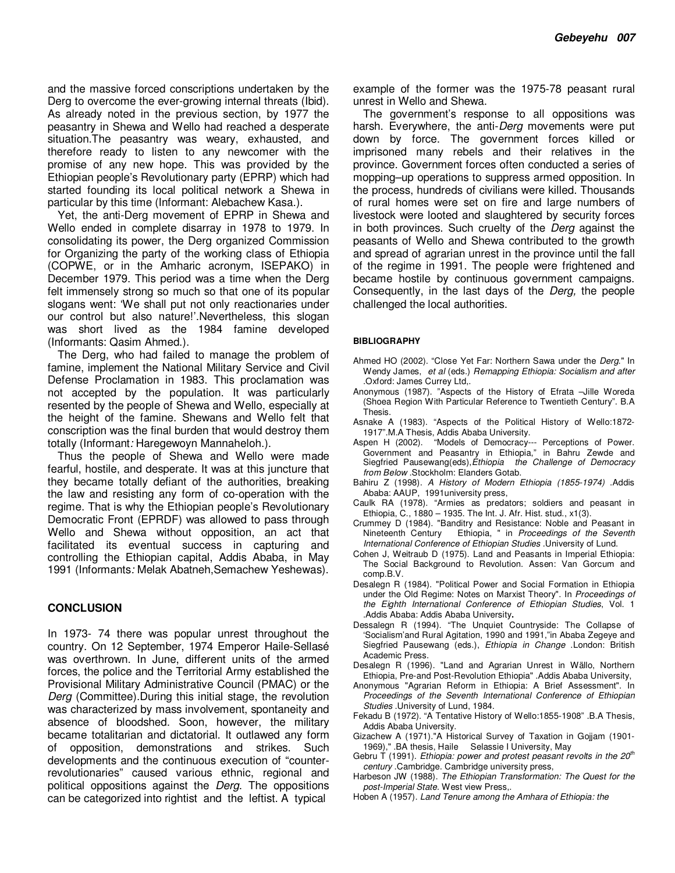and the massive forced conscriptions undertaken by the Derg to overcome the ever-growing internal threats (Ibid). As already noted in the previous section, by 1977 the peasantry in Shewa and Wello had reached a desperate situation.The peasantry was weary, exhausted, and therefore ready to listen to any newcomer with the promise of any new hope. This was provided by the Ethiopian people's Revolutionary party (EPRP) which had started founding its local political network a Shewa in particular by this time (Informant: Alebachew Kasa.).

Yet, the anti-Derg movement of EPRP in Shewa and Wello ended in complete disarray in 1978 to 1979. In consolidating its power, the Derg organized Commission for Organizing the party of the working class of Ethiopia (COPWE, or in the Amharic acronym, ISEPAKO) in December 1979. This period was a time when the Derg felt immensely strong so much so that one of its popular slogans went: 'We shall put not only reactionaries under our control but also nature!'.Nevertheless, this slogan was short lived as the 1984 famine developed (Informants: Qasim Ahmed.).

The Derg, who had failed to manage the problem of famine, implement the National Military Service and Civil Defense Proclamation in 1983. This proclamation was not accepted by the population. It was particularly resented by the people of Shewa and Wello, especially at the height of the famine. Shewans and Wello felt that conscription was the final burden that would destroy them totally (Informant*:* Haregewoyn Mannaheloh.).

Thus the people of Shewa and Wello were made fearful, hostile, and desperate. It was at this juncture that they became totally defiant of the authorities, breaking the law and resisting any form of co-operation with the regime. That is why the Ethiopian people's Revolutionary Democratic Front (EPRDF) was allowed to pass through Wello and Shewa without opposition, an act that facilitated its eventual success in capturing and controlling the Ethiopian capital, Addis Ababa, in May 1991 (Informants*:* Melak Abatneh,Semachew Yeshewas).

#### **CONCLUSION**

In 1973- 74 there was popular unrest throughout the country. On 12 September, 1974 Emperor Haile-Sellasé was overthrown. In June, different units of the armed forces, the police and the Territorial Army established the Provisional Military Administrative Council (PMAC) or the *Derg* (Committee).During this initial stage, the revolution was characterized by mass involvement, spontaneity and absence of bloodshed. Soon, however, the military became totalitarian and dictatorial. It outlawed any form of opposition, demonstrations and strikes. Such developments and the continuous execution of "counterrevolutionaries" caused various ethnic, regional and political oppositions against the *Derg*. The oppositions can be categorized into rightist and the leftist. A typical

example of the former was the 1975-78 peasant rural unrest in Wello and Shewa.

The government's response to all oppositions was harsh. Everywhere, the anti-*Derg* movements were put down by force. The government forces killed or imprisoned many rebels and their relatives in the province. Government forces often conducted a series of mopping–up operations to suppress armed opposition. In the process, hundreds of civilians were killed. Thousands of rural homes were set on fire and large numbers of livestock were looted and slaughtered by security forces in both provinces. Such cruelty of the *Derg* against the peasants of Wello and Shewa contributed to the growth and spread of agrarian unrest in the province until the fall of the regime in 1991. The people were frightened and became hostile by continuous government campaigns. Consequently, in the last days of the *Derg,* the people challenged the local authorities.

#### **BIBLIOGRAPHY**

- Ahmed HO (2002). "Close Yet Far: Northern Sawa under the *Derg*." In Wendy James, *et al* (eds.) *Remapping Ethiopia: Socialism and after* .Oxford: James Currey Ltd,.
- Anonymous (1987). "Aspects of the History of Efrata –Jille Woreda (Shoea Region With Particular Reference to Twentieth Century". B.A Thesis.
- Asnake A (1983). "Aspects of the Political History of Wello:1872- 1917".M.A Thesis, Addis Ababa University.
- Aspen H (2002)."Models of Democracy--- Perceptions of Power. Government and Peasantry in Ethiopia," in Bahru Zewde and Siegfried Pausewang(eds),*Ethiopia the Challenge of Democracy from Below* .Stockholm: Elanders Gotab.
- Bahiru Z (1998). *A History of Modern Ethiopia (1855-1974)* .Addis Ababa: AAUP, 1991university press,
- Caulk RA (1978). "Armies as predators; soldiers and peasant in Ethiopia, C., 1880 – 1935. The Int. J. Afr. Hist. stud., x1(3).
- Crummey D (1984). "Banditry and Resistance: Noble and Peasant in Nineteenth Century Ethiopia, " in *Proceedings of the Seventh International Conference of Ethiopian Studies .*University of Lund.
- Cohen J, Weitraub D (1975). Land and Peasants in Imperial Ethiopia: The Social Background to Revolution. Assen: Van Gorcum and comp.B.V.
- Desalegn R (1984). "Political Power and Social Formation in Ethiopia under the Old Regime: Notes on Marxist Theory". In *Proceedings of the Eighth International Conference of Ethiopian Studies*, Vol. 1 .Addis Ababa: Addis Ababa University**.**
- Dessalegn R (1994). "The Unquiet Countryside: The Collapse of 'Socialism'and Rural Agitation, 1990 and 1991,"in Ababa Zegeye and Siegfried Pausewang (eds.), *Ethiopia in Change* .London: British Academic Press.
- Desalegn R (1996). "Land and Agrarian Unrest in Wällo, Northern Ethiopia, Pre-and Post-Revolution Ethiopia" .Addis Ababa University,
- Anonymous "Agrarian Reform in Ethiopia: A Brief Assessment". In *Proceedings of the Seventh International Conference of Ethiopian Studies* .University of Lund, 1984.
- Fekadu B (1972). "A Tentative History of Wello:1855-1908" .B.A Thesis, Addis Ababa University.
- Gizachew A (1971)."A Historical Survey of Taxation in Gojjam (1901- 1969)," .BA thesis, Haile Selassie I University, May
- Gebru T (1991). *Ethiopia: power and protest peasant revolts in the 20th century* .Cambridge. Cambridge university press,
- Harbeson JW (1988). *The Ethiopian Transformation: The Quest for the post-Imperial State.* West view Press,.
- Hoben A (1957). *Land Tenure among the Amhara of Ethiopia: the*